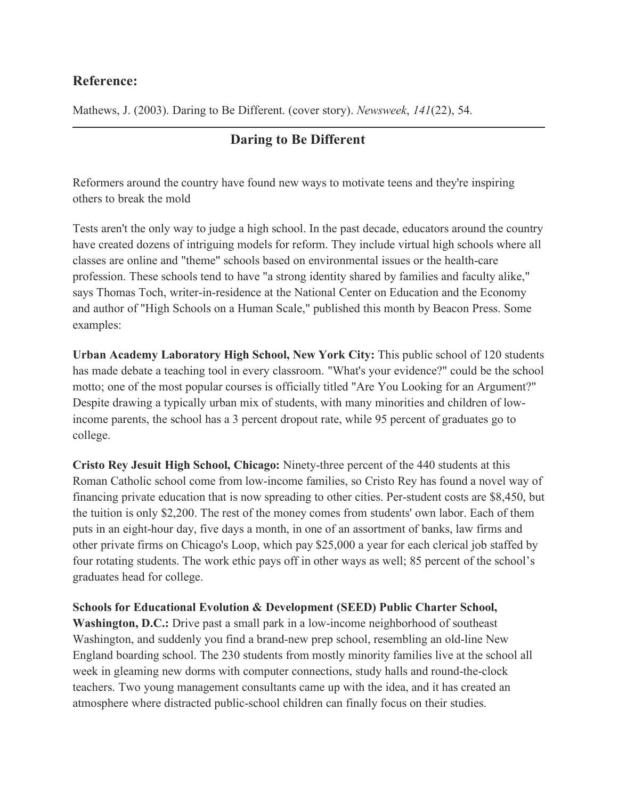## **Reference:**

Mathews, J. (2003). Daring to Be Different. (cover story). *Newsweek*, *141*(22), 54.

## **Daring to Be Different**

Reformers around the country have found new ways to motivate teens and they're inspiring others to break the mold

Tests aren't the only way to judge a high school. In the past decade, educators around the country have created dozens of intriguing models for reform. They include virtual high schools where all classes are online and "theme" schools based on environmental issues or the health-care profession. These schools tend to have "a strong identity shared by families and faculty alike," says Thomas Toch, writer-in-residence at the National Center on Education and the Economy and author of "High Schools on a Human Scale," published this month by Beacon Press. Some examples:

**Urban Academy Laboratory High School, New York City:** This public school of 120 students has made debate a teaching tool in every classroom. "What's your evidence?" could be the school motto; one of the most popular courses is officially titled "Are You Looking for an Argument?" Despite drawing a typically urban mix of students, with many minorities and children of lowincome parents, the school has a 3 percent dropout rate, while 95 percent of graduates go to college.

**Cristo Rey Jesuit High School, Chicago:** Ninety-three percent of the 440 students at this Roman Catholic school come from low-income families, so Cristo Rey has found a novel way of financing private education that is now spreading to other cities. Per-student costs are \$8,450, but the tuition is only \$2,200. The rest of the money comes from students' own labor. Each of them puts in an eight-hour day, five days a month, in one of an assortment of banks, law firms and other private firms on Chicago's Loop, which pay \$25,000 a year for each clerical job staffed by four rotating students. The work ethic pays off in other ways as well; 85 percent of the school's graduates head for college.

**Schools for Educational Evolution & Development (SEED) Public Charter School, Washington, D.C.:** Drive past a small park in a low-income neighborhood of southeast Washington, and suddenly you find a brand-new prep school, resembling an old-line New England boarding school. The 230 students from mostly minority families live at the school all week in gleaming new dorms with computer connections, study halls and round-the-clock teachers. Two young management consultants came up with the idea, and it has created an atmosphere where distracted public-school children can finally focus on their studies.